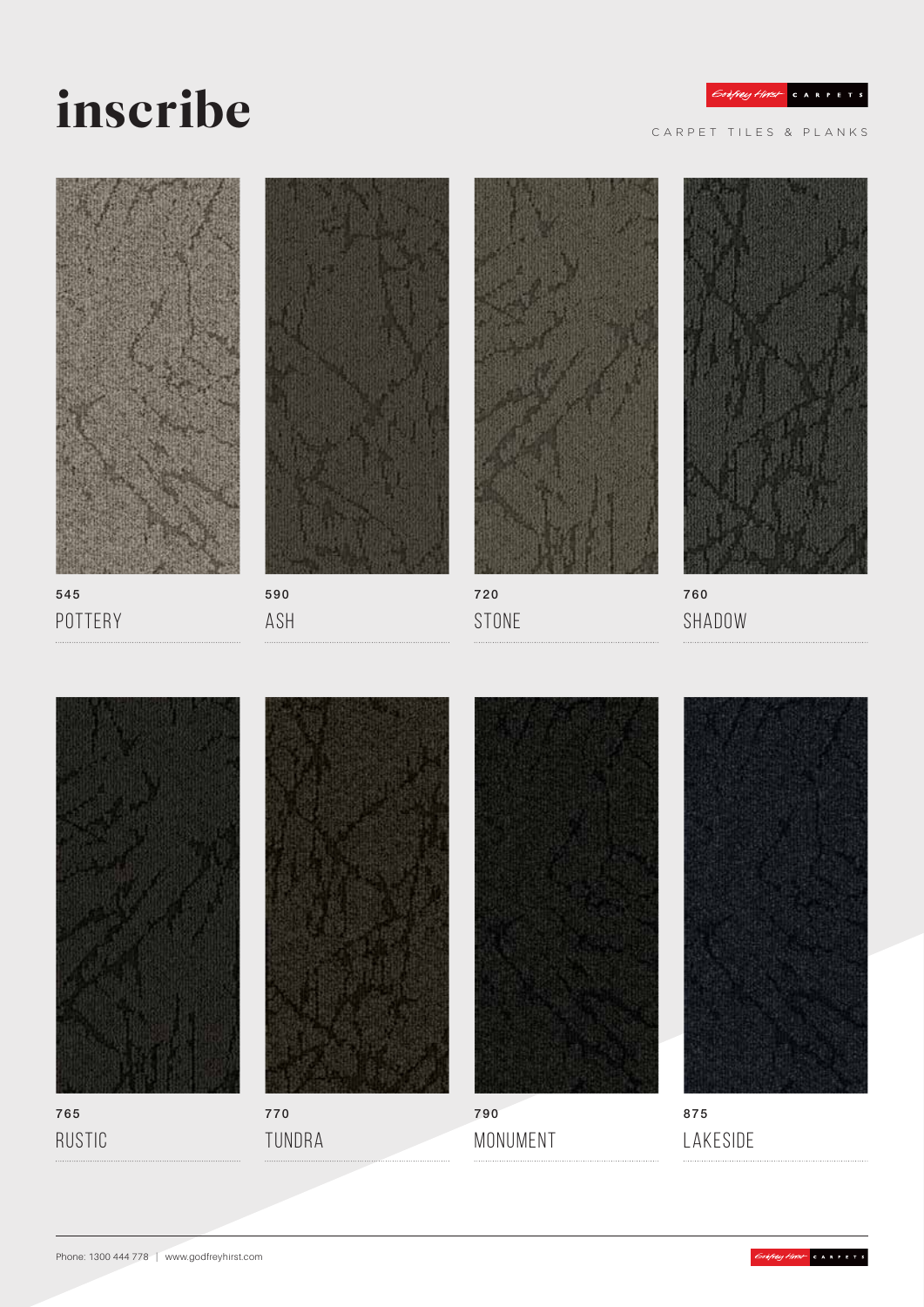## inscribe

CARPET TILES & PLANKS







590 Ash



STONE



760 SHADOW



765 Rustic



TUNDRA



790 Monument



875 Lakeside